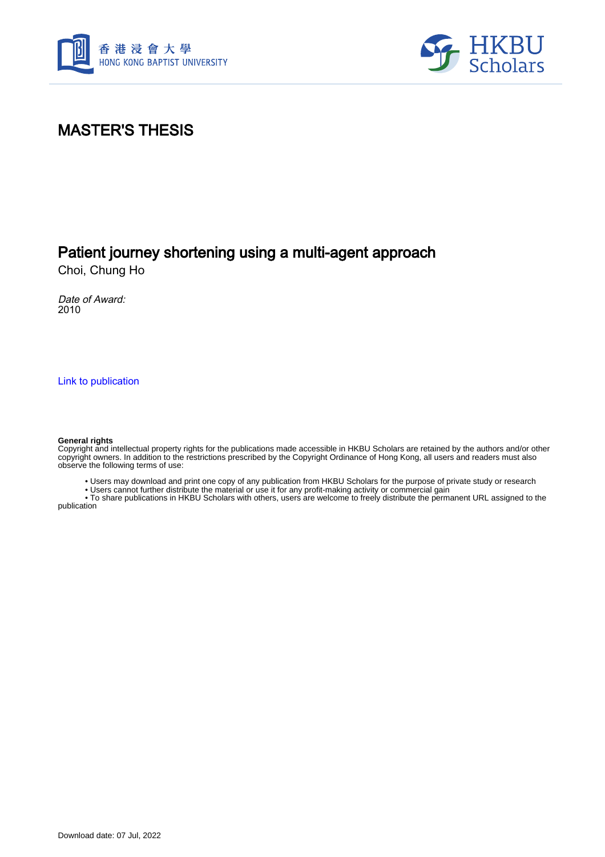



## MASTER'S THESIS

## Patient journey shortening using a multi-agent approach

Choi, Chung Ho

Date of Award: 2010

[Link to publication](https://scholars.hkbu.edu.hk/en/studentTheses/f2bd140e-e6fb-44b4-97e0-b96fa5b0fb7c)

#### **General rights**

Copyright and intellectual property rights for the publications made accessible in HKBU Scholars are retained by the authors and/or other copyright owners. In addition to the restrictions prescribed by the Copyright Ordinance of Hong Kong, all users and readers must also observe the following terms of use:

• Users may download and print one copy of any publication from HKBU Scholars for the purpose of private study or research

• Users cannot further distribute the material or use it for any profit-making activity or commercial gain

 • To share publications in HKBU Scholars with others, users are welcome to freely distribute the permanent URL assigned to the publication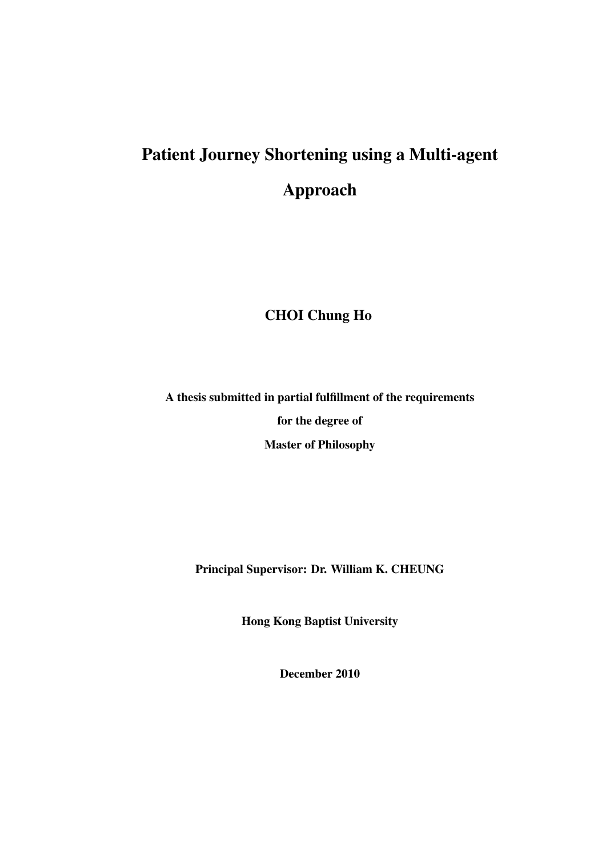# Patient Journey Shortening using a Multi-agent Approach

#### CHOI Chung Ho

A thesis submitted in partial fulfillment of the requirements for the degree of Master of Philosophy

Principal Supervisor: Dr. William K. CHEUNG

Hong Kong Baptist University

December 2010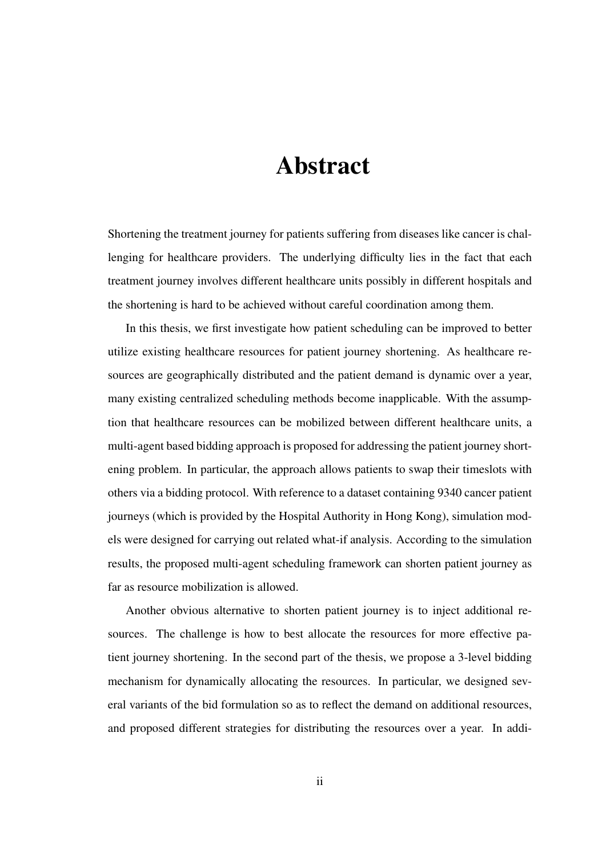## Abstract

Shortening the treatment journey for patients suffering from diseases like cancer is challenging for healthcare providers. The underlying difficulty lies in the fact that each treatment journey involves different healthcare units possibly in different hospitals and the shortening is hard to be achieved without careful coordination among them.

In this thesis, we first investigate how patient scheduling can be improved to better utilize existing healthcare resources for patient journey shortening. As healthcare resources are geographically distributed and the patient demand is dynamic over a year, many existing centralized scheduling methods become inapplicable. With the assumption that healthcare resources can be mobilized between different healthcare units, a multi-agent based bidding approach is proposed for addressing the patient journey shortening problem. In particular, the approach allows patients to swap their timeslots with others via a bidding protocol. With reference to a dataset containing 9340 cancer patient journeys (which is provided by the Hospital Authority in Hong Kong), simulation models were designed for carrying out related what-if analysis. According to the simulation results, the proposed multi-agent scheduling framework can shorten patient journey as far as resource mobilization is allowed.

Another obvious alternative to shorten patient journey is to inject additional resources. The challenge is how to best allocate the resources for more effective patient journey shortening. In the second part of the thesis, we propose a 3-level bidding mechanism for dynamically allocating the resources. In particular, we designed several variants of the bid formulation so as to reflect the demand on additional resources, and proposed different strategies for distributing the resources over a year. In addi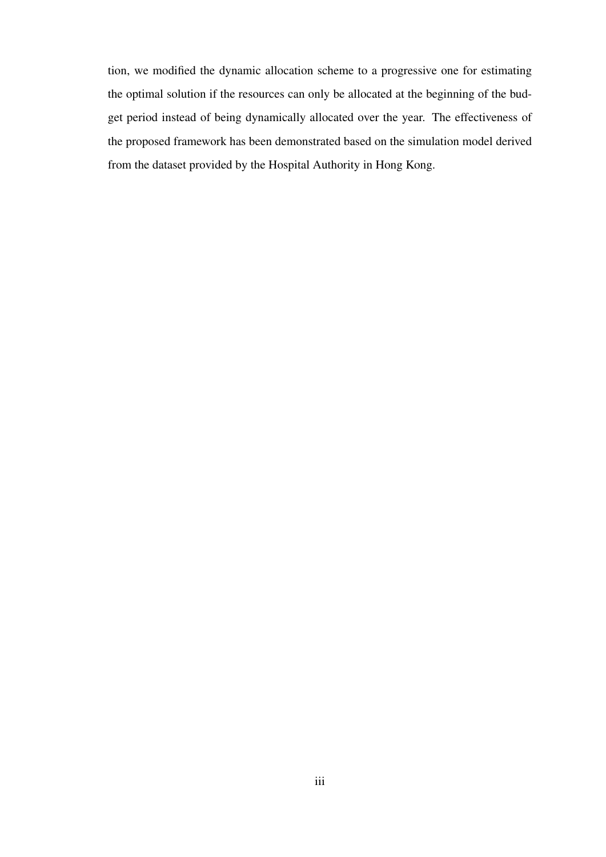tion, we modified the dynamic allocation scheme to a progressive one for estimating the optimal solution if the resources can only be allocated at the beginning of the budget period instead of being dynamically allocated over the year. The effectiveness of the proposed framework has been demonstrated based on the simulation model derived from the dataset provided by the Hospital Authority in Hong Kong.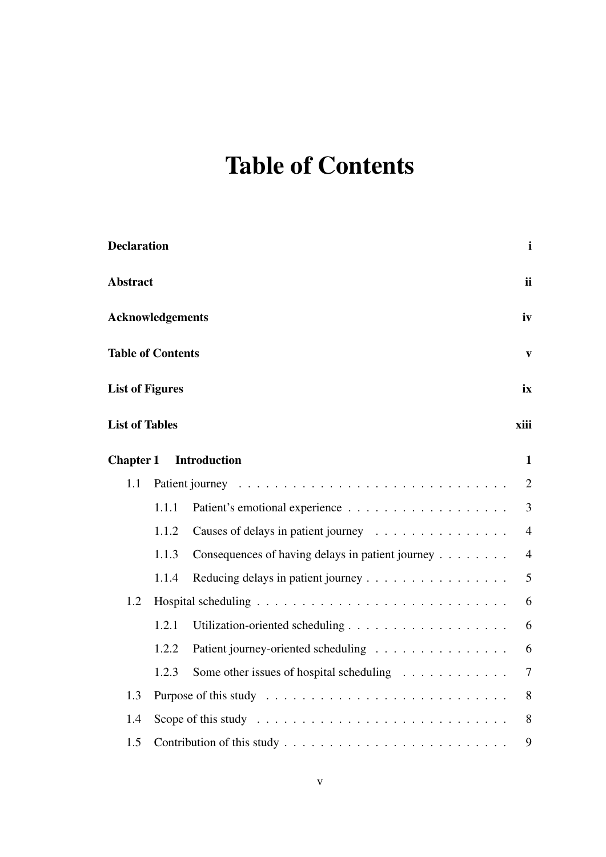# Table of Contents

| <b>Declaration</b>       |       |                                                  |                |  |  |
|--------------------------|-------|--------------------------------------------------|----------------|--|--|
| <b>Abstract</b>          |       |                                                  | ii             |  |  |
| <b>Acknowledgements</b>  |       |                                                  |                |  |  |
| <b>Table of Contents</b> |       |                                                  | V              |  |  |
| <b>List of Figures</b>   |       |                                                  | ix             |  |  |
| <b>List of Tables</b>    |       |                                                  | xiii           |  |  |
| <b>Chapter 1</b>         |       | <b>Introduction</b>                              | $\mathbf{1}$   |  |  |
| 1.1                      |       |                                                  | $\overline{2}$ |  |  |
|                          | 1.1.1 |                                                  | 3              |  |  |
|                          | 1.1.2 |                                                  | $\overline{4}$ |  |  |
|                          | 1.1.3 | Consequences of having delays in patient journey | $\overline{4}$ |  |  |
|                          | 1.1.4 | Reducing delays in patient journey               | 5              |  |  |
| 1.2                      |       |                                                  | 6              |  |  |
|                          | 1.2.1 |                                                  | 6              |  |  |
|                          | 1.2.2 | Patient journey-oriented scheduling              | 6              |  |  |
|                          | 1.2.3 | Some other issues of hospital scheduling         | $\overline{7}$ |  |  |
| 1.3                      |       |                                                  |                |  |  |
| 1.4                      |       |                                                  |                |  |  |
| 1.5                      |       |                                                  |                |  |  |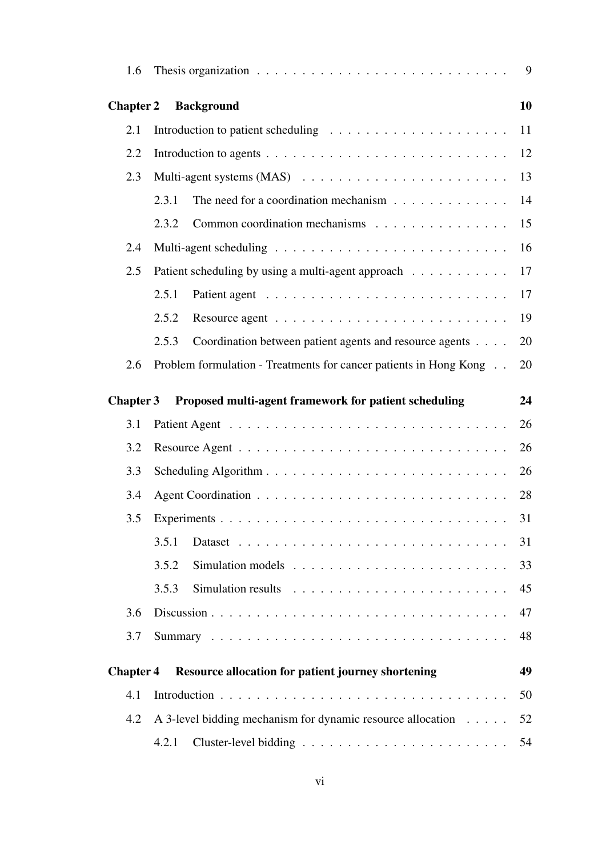| 1.6              | Thesis organization $\ldots \ldots \ldots \ldots \ldots \ldots \ldots \ldots \ldots$ | 9        |  |  |  |
|------------------|--------------------------------------------------------------------------------------|----------|--|--|--|
| <b>Chapter 2</b> | <b>Background</b>                                                                    | 10       |  |  |  |
| 2.1              |                                                                                      |          |  |  |  |
| 2.2              |                                                                                      | 12       |  |  |  |
| 2.3              |                                                                                      |          |  |  |  |
|                  | The need for a coordination mechanism $\ldots \ldots \ldots \ldots$<br>2.3.1         | 14       |  |  |  |
|                  | Common coordination mechanisms<br>2.3.2                                              | 15       |  |  |  |
| 2.4              |                                                                                      | 16       |  |  |  |
| 2.5              | Patient scheduling by using a multi-agent approach                                   | 17       |  |  |  |
|                  | 2.5.1                                                                                | 17       |  |  |  |
|                  | 2.5.2                                                                                | 19       |  |  |  |
|                  | Coordination between patient agents and resource agents<br>2.5.3                     | 20       |  |  |  |
| 2.6              | Problem formulation - Treatments for cancer patients in Hong Kong                    | 20       |  |  |  |
| <b>Chapter 3</b> | Proposed multi-agent framework for patient scheduling                                | 24       |  |  |  |
| 3.1              |                                                                                      | 26       |  |  |  |
| 3.2              | 26                                                                                   |          |  |  |  |
| 3.3              | 26                                                                                   |          |  |  |  |
| 3.4              | 28                                                                                   |          |  |  |  |
| 3.5              |                                                                                      |          |  |  |  |
|                  | 3.5.1                                                                                | 31<br>31 |  |  |  |
|                  | 3.5.2                                                                                | 33       |  |  |  |
|                  | 3.5.3                                                                                | 45       |  |  |  |
| 3.6              |                                                                                      | 47       |  |  |  |
| 3.7              |                                                                                      | 48       |  |  |  |
|                  |                                                                                      |          |  |  |  |
| <b>Chapter 4</b> | <b>Resource allocation for patient journey shortening</b>                            | 49       |  |  |  |
| 4.1              |                                                                                      |          |  |  |  |
| 4.2              | A 3-level bidding mechanism for dynamic resource allocation                          | 52       |  |  |  |
|                  | 4.2.1                                                                                |          |  |  |  |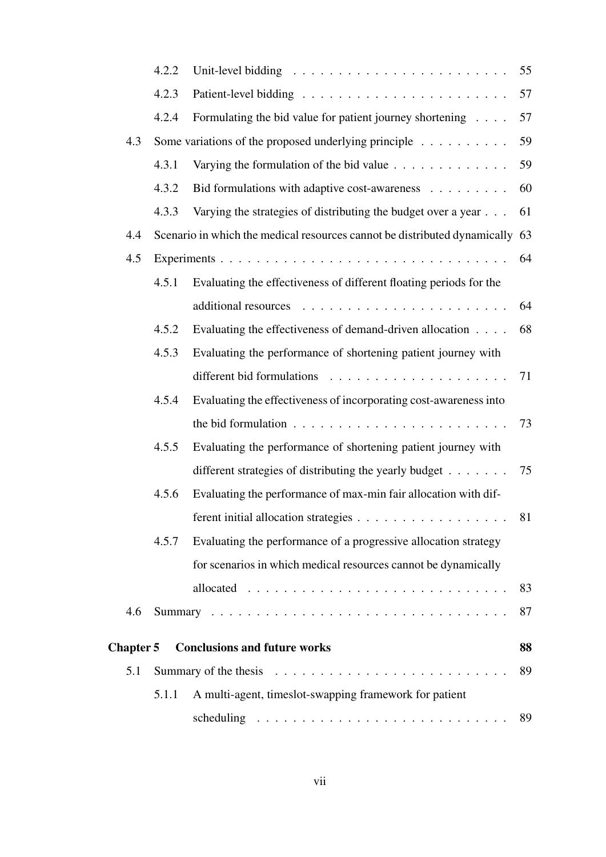|           | 4.2.2 | Unit-level bidding $\ldots \ldots \ldots \ldots \ldots \ldots \ldots \ldots$  | 55 |
|-----------|-------|-------------------------------------------------------------------------------|----|
|           | 4.2.3 |                                                                               | 57 |
|           | 4.2.4 | Formulating the bid value for patient journey shortening                      | 57 |
| 4.3       |       | Some variations of the proposed underlying principle $\dots \dots \dots$      | 59 |
|           | 4.3.1 | Varying the formulation of the bid value $\ldots \ldots \ldots \ldots$        | 59 |
|           | 4.3.2 | Bid formulations with adaptive cost-awareness                                 | 60 |
|           | 4.3.3 | Varying the strategies of distributing the budget over a year                 | 61 |
| 4.4       |       | Scenario in which the medical resources cannot be distributed dynamically 63  |    |
| 4.5       |       |                                                                               | 64 |
|           | 4.5.1 | Evaluating the effectiveness of different floating periods for the            |    |
|           |       |                                                                               | 64 |
|           | 4.5.2 | Evaluating the effectiveness of demand-driven allocation                      | 68 |
|           | 4.5.3 | Evaluating the performance of shortening patient journey with                 |    |
|           |       |                                                                               | 71 |
|           | 4.5.4 | Evaluating the effectiveness of incorporating cost-awareness into             |    |
|           |       | the bid formulation $\ldots \ldots \ldots \ldots \ldots \ldots \ldots \ldots$ | 73 |
|           | 4.5.5 | Evaluating the performance of shortening patient journey with                 |    |
|           |       | different strategies of distributing the yearly budget $\dots$                | 75 |
|           | 4.5.6 | Evaluating the performance of max-min fair allocation with dif-               |    |
|           |       | ferent initial allocation strategies 81                                       |    |
|           | 4.5.7 | Evaluating the performance of a progressive allocation strategy               |    |
|           |       | for scenarios in which medical resources cannot be dynamically                |    |
|           |       |                                                                               | 83 |
| 4.6       |       |                                                                               | 87 |
| Chapter 5 |       | <b>Conclusions and future works</b>                                           | 88 |
| 5.1       |       |                                                                               | 89 |
|           | 5.1.1 | A multi-agent, timeslot-swapping framework for patient                        |    |
|           |       |                                                                               | 89 |